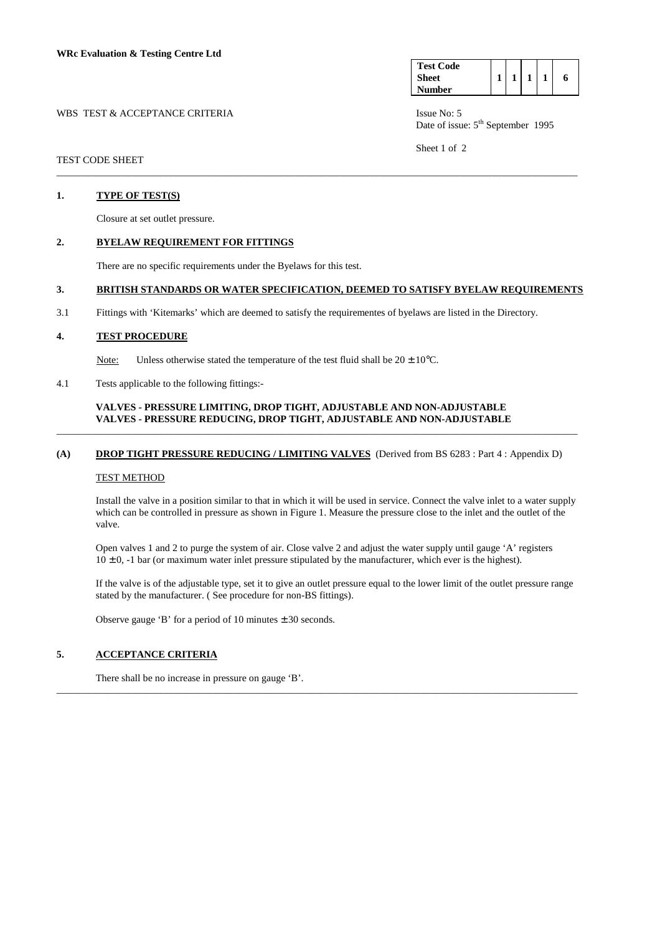WBS TEST & ACCEPTANCE CRITERIA ISSUE No: 5

| <b>Test Code</b> |  |  |   |
|------------------|--|--|---|
| Sheet            |  |  | 6 |
| Number           |  |  |   |

Date of issue:  $5<sup>th</sup>$  September 1995

Sheet 1 of 2

## TEST CODE SHEET

### **1. TYPE OF TEST(S)**

Closure at set outlet pressure.

### **2. BYELAW REQUIREMENT FOR FITTINGS**

There are no specific requirements under the Byelaws for this test.

# **3. BRITISH STANDARDS OR WATER SPECIFICATION, DEEMED TO SATISFY BYELAW REQUIREMENTS**

\_\_\_\_\_\_\_\_\_\_\_\_\_\_\_\_\_\_\_\_\_\_\_\_\_\_\_\_\_\_\_\_\_\_\_\_\_\_\_\_\_\_\_\_\_\_\_\_\_\_\_\_\_\_\_\_\_\_\_\_\_\_\_\_\_\_\_\_\_\_\_\_\_\_\_\_\_\_\_\_\_\_\_\_\_\_\_\_\_\_\_\_\_\_\_\_\_\_\_\_\_\_\_

3.1 Fittings with 'Kitemarks' which are deemed to satisfy the requirementes of byelaws are listed in the Directory.

## **4. TEST PROCEDURE**

Note: Unless otherwise stated the temperature of the test fluid shall be  $20 \pm 10^{\circ}$ C.

4.1 Tests applicable to the following fittings:-

## **VALVES - PRESSURE LIMITING, DROP TIGHT, ADJUSTABLE AND NON-ADJUSTABLE VALVES - PRESSURE REDUCING, DROP TIGHT, ADJUSTABLE AND NON-ADJUSTABLE**

# **(A) DROP TIGHT PRESSURE REDUCING / LIMITING VALVES** (Derived from BS 6283 : Part 4 : Appendix D)

\_\_\_\_\_\_\_\_\_\_\_\_\_\_\_\_\_\_\_\_\_\_\_\_\_\_\_\_\_\_\_\_\_\_\_\_\_\_\_\_\_\_\_\_\_\_\_\_\_\_\_\_\_\_\_\_\_\_\_\_\_\_\_\_\_\_\_\_\_\_\_\_\_\_\_\_\_\_\_\_\_\_\_\_\_\_\_\_\_\_\_\_\_\_\_\_\_\_\_\_\_\_\_

### TEST METHOD

 Install the valve in a position similar to that in which it will be used in service. Connect the valve inlet to a water supply which can be controlled in pressure as shown in Figure 1. Measure the pressure close to the inlet and the outlet of the valve.

 Open valves 1 and 2 to purge the system of air. Close valve 2 and adjust the water supply until gauge 'A' registers  $10 \pm 0$ ,  $-1$  bar (or maximum water inlet pressure stipulated by the manufacturer, which ever is the highest).

\_\_\_\_\_\_\_\_\_\_\_\_\_\_\_\_\_\_\_\_\_\_\_\_\_\_\_\_\_\_\_\_\_\_\_\_\_\_\_\_\_\_\_\_\_\_\_\_\_\_\_\_\_\_\_\_\_\_\_\_\_\_\_\_\_\_\_\_\_\_\_\_\_\_\_\_\_\_\_\_\_\_\_\_\_\_\_\_\_\_\_\_\_\_\_\_\_\_\_\_\_\_\_

 If the valve is of the adjustable type, set it to give an outlet pressure equal to the lower limit of the outlet pressure range stated by the manufacturer. ( See procedure for non-BS fittings).

Observe gauge 'B' for a period of 10 minutes  $\pm$  30 seconds.

# **5. ACCEPTANCE CRITERIA**

There shall be no increase in pressure on gauge 'B'.